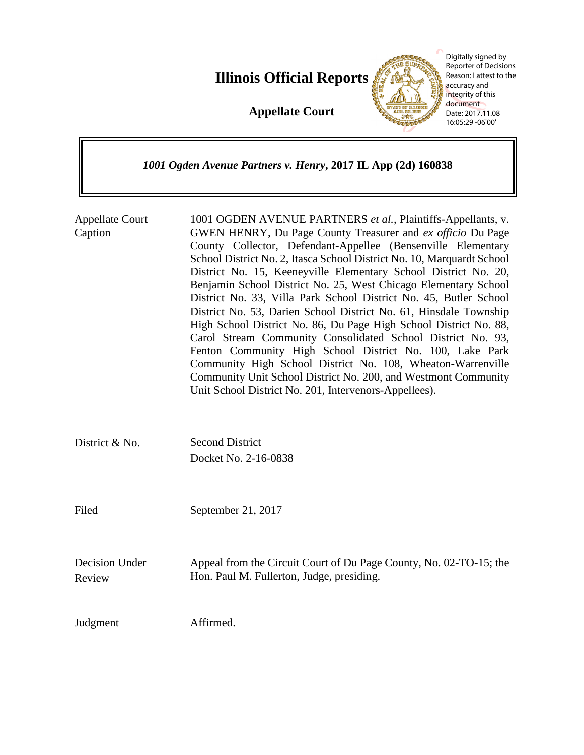**Illinois Official Reports** 

**Appellate Court**



Digitally signed by Reporter of Decisions Reason: I attest to the accuracy and integrity of this document Date: 2017.11.08 16:05:29 -06'00'

# *1001 Ogden Avenue Partners v. Henry***, 2017 IL App (2d) 160838**

| <b>Appellate Court</b><br>Caption | 1001 OGDEN AVENUE PARTNERS et al., Plaintiffs-Appellants, v.<br>GWEN HENRY, Du Page County Treasurer and ex officio Du Page<br>County Collector, Defendant-Appellee (Bensenville Elementary<br>School District No. 2, Itasca School District No. 10, Marquardt School<br>District No. 15, Keeneyville Elementary School District No. 20,<br>Benjamin School District No. 25, West Chicago Elementary School<br>District No. 33, Villa Park School District No. 45, Butler School<br>District No. 53, Darien School District No. 61, Hinsdale Township<br>High School District No. 86, Du Page High School District No. 88,<br>Carol Stream Community Consolidated School District No. 93,<br>Fenton Community High School District No. 100, Lake Park<br>Community High School District No. 108, Wheaton-Warrenville<br>Community Unit School District No. 200, and Westmont Community<br>Unit School District No. 201, Intervenors-Appellees). |
|-----------------------------------|-------------------------------------------------------------------------------------------------------------------------------------------------------------------------------------------------------------------------------------------------------------------------------------------------------------------------------------------------------------------------------------------------------------------------------------------------------------------------------------------------------------------------------------------------------------------------------------------------------------------------------------------------------------------------------------------------------------------------------------------------------------------------------------------------------------------------------------------------------------------------------------------------------------------------------------------------|
| District & No.                    | <b>Second District</b><br>Docket No. 2-16-0838                                                                                                                                                                                                                                                                                                                                                                                                                                                                                                                                                                                                                                                                                                                                                                                                                                                                                                  |
| Filed                             | September 21, 2017                                                                                                                                                                                                                                                                                                                                                                                                                                                                                                                                                                                                                                                                                                                                                                                                                                                                                                                              |
| <b>Decision Under</b><br>Review   | Appeal from the Circuit Court of Du Page County, No. 02-TO-15; the<br>Hon. Paul M. Fullerton, Judge, presiding.                                                                                                                                                                                                                                                                                                                                                                                                                                                                                                                                                                                                                                                                                                                                                                                                                                 |
| Judgment                          | Affirmed.                                                                                                                                                                                                                                                                                                                                                                                                                                                                                                                                                                                                                                                                                                                                                                                                                                                                                                                                       |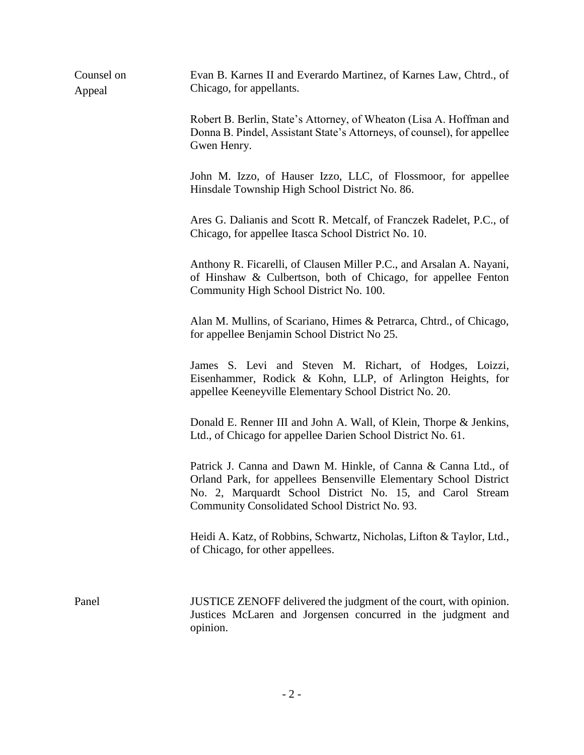| Counsel on<br>Appeal | Evan B. Karnes II and Everardo Martinez, of Karnes Law, Chtrd., of<br>Chicago, for appellants.                                                                                                                                                     |
|----------------------|----------------------------------------------------------------------------------------------------------------------------------------------------------------------------------------------------------------------------------------------------|
|                      | Robert B. Berlin, State's Attorney, of Wheaton (Lisa A. Hoffman and<br>Donna B. Pindel, Assistant State's Attorneys, of counsel), for appellee<br>Gwen Henry.                                                                                      |
|                      | John M. Izzo, of Hauser Izzo, LLC, of Flossmoor, for appellee<br>Hinsdale Township High School District No. 86.                                                                                                                                    |
|                      | Ares G. Dalianis and Scott R. Metcalf, of Franczek Radelet, P.C., of<br>Chicago, for appellee Itasca School District No. 10.                                                                                                                       |
|                      | Anthony R. Ficarelli, of Clausen Miller P.C., and Arsalan A. Nayani,<br>of Hinshaw & Culbertson, both of Chicago, for appellee Fenton<br>Community High School District No. 100.                                                                   |
|                      | Alan M. Mullins, of Scariano, Himes & Petrarca, Chtrd., of Chicago,<br>for appellee Benjamin School District No 25.                                                                                                                                |
|                      | James S. Levi and Steven M. Richart, of Hodges, Loizzi,<br>Eisenhammer, Rodick & Kohn, LLP, of Arlington Heights, for<br>appellee Keeneyville Elementary School District No. 20.                                                                   |
|                      | Donald E. Renner III and John A. Wall, of Klein, Thorpe & Jenkins,<br>Ltd., of Chicago for appellee Darien School District No. 61.                                                                                                                 |
|                      | Patrick J. Canna and Dawn M. Hinkle, of Canna & Canna Ltd., of<br>Orland Park, for appellees Bensenville Elementary School District<br>No. 2, Marquardt School District No. 15, and Carol Stream<br>Community Consolidated School District No. 93. |
|                      | Heidi A. Katz, of Robbins, Schwartz, Nicholas, Lifton & Taylor, Ltd.,<br>of Chicago, for other appellees.                                                                                                                                          |
| Panel                | JUSTICE ZENOFF delivered the judgment of the court, with opinion.<br>Justices McLaren and Jorgensen concurred in the judgment and<br>opinion.                                                                                                      |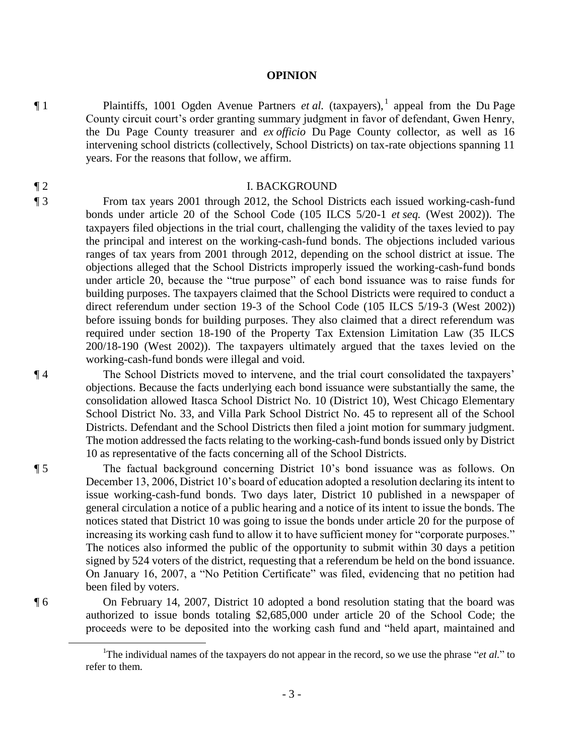## **OPINION**

¶ 1 Plaintiffs, 1001 Ogden Avenue Partners *et al.* (taxpayers),<sup>1</sup> appeal from the Du Page County circuit court's order granting summary judgment in favor of defendant, Gwen Henry, the Du Page County treasurer and *ex officio* Du Page County collector, as well as 16 intervening school districts (collectively, School Districts) on tax-rate objections spanning 11 years. For the reasons that follow, we affirm.

## ¶ 2 I. BACKGROUND

¶ 3 From tax years 2001 through 2012, the School Districts each issued working-cash-fund bonds under article 20 of the School Code (105 ILCS 5/20-1 *et seq.* (West 2002)). The taxpayers filed objections in the trial court, challenging the validity of the taxes levied to pay the principal and interest on the working-cash-fund bonds. The objections included various ranges of tax years from 2001 through 2012, depending on the school district at issue. The objections alleged that the School Districts improperly issued the working-cash-fund bonds under article 20, because the "true purpose" of each bond issuance was to raise funds for building purposes. The taxpayers claimed that the School Districts were required to conduct a direct referendum under section 19-3 of the School Code (105 ILCS 5/19-3 (West 2002)) before issuing bonds for building purposes. They also claimed that a direct referendum was required under section 18-190 of the Property Tax Extension Limitation Law (35 ILCS 200/18-190 (West 2002)). The taxpayers ultimately argued that the taxes levied on the working-cash-fund bonds were illegal and void.

¶ 4 The School Districts moved to intervene, and the trial court consolidated the taxpayers' objections. Because the facts underlying each bond issuance were substantially the same, the consolidation allowed Itasca School District No. 10 (District 10), West Chicago Elementary School District No. 33, and Villa Park School District No. 45 to represent all of the School Districts. Defendant and the School Districts then filed a joint motion for summary judgment. The motion addressed the facts relating to the working-cash-fund bonds issued only by District 10 as representative of the facts concerning all of the School Districts.

¶ 5 The factual background concerning District 10's bond issuance was as follows. On December 13, 2006, District 10's board of education adopted a resolution declaring its intent to issue working-cash-fund bonds. Two days later, District 10 published in a newspaper of general circulation a notice of a public hearing and a notice of its intent to issue the bonds. The notices stated that District 10 was going to issue the bonds under article 20 for the purpose of increasing its working cash fund to allow it to have sufficient money for "corporate purposes." The notices also informed the public of the opportunity to submit within 30 days a petition signed by 524 voters of the district, requesting that a referendum be held on the bond issuance. On January 16, 2007, a "No Petition Certificate" was filed, evidencing that no petition had been filed by voters.

¶ 6 On February 14, 2007, District 10 adopted a bond resolution stating that the board was authorized to issue bonds totaling \$2,685,000 under article 20 of the School Code; the proceeds were to be deposited into the working cash fund and "held apart, maintained and

 $\overline{a}$ 

<sup>1</sup>The individual names of the taxpayers do not appear in the record, so we use the phrase "*et al.*" to refer to them.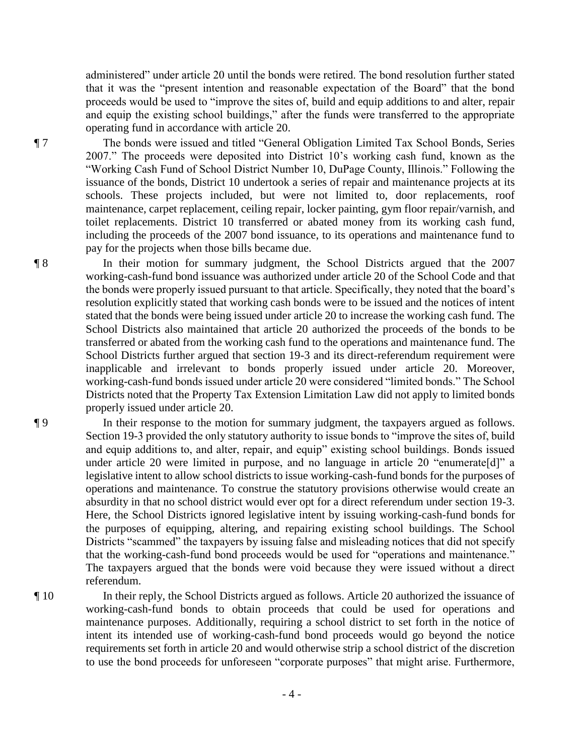administered" under article 20 until the bonds were retired. The bond resolution further stated that it was the "present intention and reasonable expectation of the Board" that the bond proceeds would be used to "improve the sites of, build and equip additions to and alter, repair and equip the existing school buildings," after the funds were transferred to the appropriate operating fund in accordance with article 20.

¶ 7 The bonds were issued and titled "General Obligation Limited Tax School Bonds, Series 2007." The proceeds were deposited into District 10's working cash fund, known as the "Working Cash Fund of School District Number 10, DuPage County, Illinois." Following the issuance of the bonds, District 10 undertook a series of repair and maintenance projects at its schools. These projects included, but were not limited to, door replacements, roof maintenance, carpet replacement, ceiling repair, locker painting, gym floor repair/varnish, and toilet replacements. District 10 transferred or abated money from its working cash fund, including the proceeds of the 2007 bond issuance, to its operations and maintenance fund to pay for the projects when those bills became due.

¶ 8 In their motion for summary judgment, the School Districts argued that the 2007 working-cash-fund bond issuance was authorized under article 20 of the School Code and that the bonds were properly issued pursuant to that article. Specifically, they noted that the board's resolution explicitly stated that working cash bonds were to be issued and the notices of intent stated that the bonds were being issued under article 20 to increase the working cash fund. The School Districts also maintained that article 20 authorized the proceeds of the bonds to be transferred or abated from the working cash fund to the operations and maintenance fund. The School Districts further argued that section 19-3 and its direct-referendum requirement were inapplicable and irrelevant to bonds properly issued under article 20. Moreover, working-cash-fund bonds issued under article 20 were considered "limited bonds." The School Districts noted that the Property Tax Extension Limitation Law did not apply to limited bonds properly issued under article 20.

¶ 9 In their response to the motion for summary judgment, the taxpayers argued as follows. Section 19-3 provided the only statutory authority to issue bonds to "improve the sites of, build and equip additions to, and alter, repair, and equip" existing school buildings. Bonds issued under article 20 were limited in purpose, and no language in article 20 "enumerate[d]" a legislative intent to allow school districts to issue working-cash-fund bonds for the purposes of operations and maintenance. To construe the statutory provisions otherwise would create an absurdity in that no school district would ever opt for a direct referendum under section 19-3. Here, the School Districts ignored legislative intent by issuing working-cash-fund bonds for the purposes of equipping, altering, and repairing existing school buildings. The School Districts "scammed" the taxpayers by issuing false and misleading notices that did not specify that the working-cash-fund bond proceeds would be used for "operations and maintenance." The taxpayers argued that the bonds were void because they were issued without a direct referendum.

¶ 10 In their reply, the School Districts argued as follows. Article 20 authorized the issuance of working-cash-fund bonds to obtain proceeds that could be used for operations and maintenance purposes. Additionally, requiring a school district to set forth in the notice of intent its intended use of working-cash-fund bond proceeds would go beyond the notice requirements set forth in article 20 and would otherwise strip a school district of the discretion to use the bond proceeds for unforeseen "corporate purposes" that might arise. Furthermore,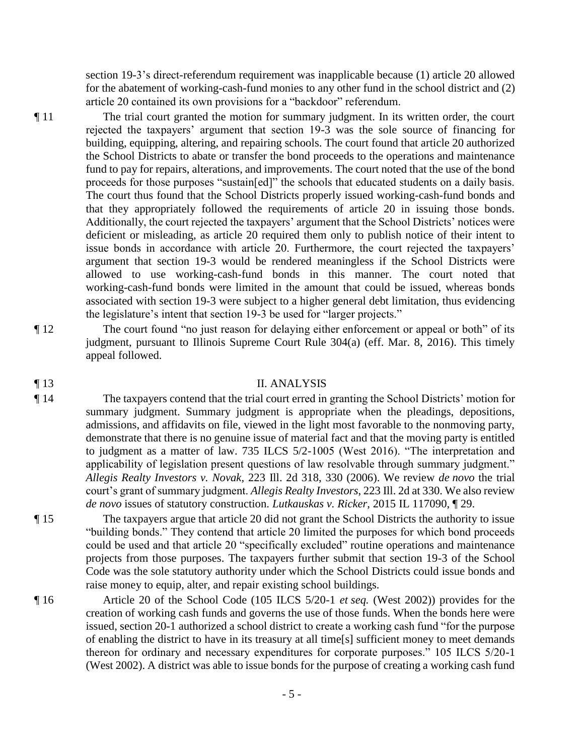section 19-3's direct-referendum requirement was inapplicable because (1) article 20 allowed for the abatement of working-cash-fund monies to any other fund in the school district and (2) article 20 contained its own provisions for a "backdoor" referendum.

¶ 11 The trial court granted the motion for summary judgment. In its written order, the court rejected the taxpayers' argument that section 19-3 was the sole source of financing for building, equipping, altering, and repairing schools. The court found that article 20 authorized the School Districts to abate or transfer the bond proceeds to the operations and maintenance fund to pay for repairs, alterations, and improvements. The court noted that the use of the bond proceeds for those purposes "sustain[ed]" the schools that educated students on a daily basis. The court thus found that the School Districts properly issued working-cash-fund bonds and that they appropriately followed the requirements of article 20 in issuing those bonds. Additionally, the court rejected the taxpayers' argument that the School Districts' notices were deficient or misleading, as article 20 required them only to publish notice of their intent to issue bonds in accordance with article 20. Furthermore, the court rejected the taxpayers' argument that section 19-3 would be rendered meaningless if the School Districts were allowed to use working-cash-fund bonds in this manner. The court noted that working-cash-fund bonds were limited in the amount that could be issued, whereas bonds associated with section 19-3 were subject to a higher general debt limitation, thus evidencing the legislature's intent that section 19-3 be used for "larger projects."

¶ 12 The court found "no just reason for delaying either enforcement or appeal or both" of its

## ¶ 13 II. ANALYSIS

appeal followed.

¶ 14 The taxpayers contend that the trial court erred in granting the School Districts' motion for summary judgment. Summary judgment is appropriate when the pleadings, depositions, admissions, and affidavits on file, viewed in the light most favorable to the nonmoving party, demonstrate that there is no genuine issue of material fact and that the moving party is entitled to judgment as a matter of law. 735 ILCS 5/2-1005 (West 2016). "The interpretation and applicability of legislation present questions of law resolvable through summary judgment." *Allegis Realty Investors v. Novak*, 223 Ill. 2d 318, 330 (2006). We review *de novo* the trial court's grant of summary judgment. *Allegis Realty Investors*, 223 Ill. 2d at 330. We also review *de novo* issues of statutory construction. *Lutkauskas v. Ricker*, 2015 IL 117090, ¶ 29.

judgment, pursuant to Illinois Supreme Court Rule 304(a) (eff. Mar. 8, 2016). This timely

¶ 15 The taxpayers argue that article 20 did not grant the School Districts the authority to issue "building bonds." They contend that article 20 limited the purposes for which bond proceeds could be used and that article 20 "specifically excluded" routine operations and maintenance projects from those purposes. The taxpayers further submit that section 19-3 of the School Code was the sole statutory authority under which the School Districts could issue bonds and raise money to equip, alter, and repair existing school buildings.

¶ 16 Article 20 of the School Code (105 ILCS 5/20-1 *et seq.* (West 2002)) provides for the creation of working cash funds and governs the use of those funds. When the bonds here were issued, section 20-1 authorized a school district to create a working cash fund "for the purpose of enabling the district to have in its treasury at all time[s] sufficient money to meet demands thereon for ordinary and necessary expenditures for corporate purposes." 105 ILCS 5/20-1 (West 2002). A district was able to issue bonds for the purpose of creating a working cash fund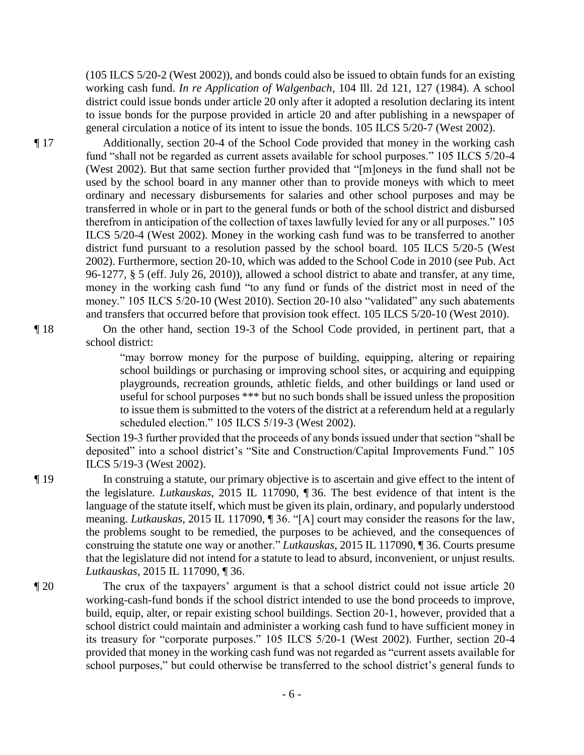(105 ILCS 5/20-2 (West 2002)), and bonds could also be issued to obtain funds for an existing working cash fund. *In re Application of Walgenbach*, 104 Ill. 2d 121, 127 (1984). A school district could issue bonds under article 20 only after it adopted a resolution declaring its intent to issue bonds for the purpose provided in article 20 and after publishing in a newspaper of general circulation a notice of its intent to issue the bonds. 105 ILCS 5/20-7 (West 2002).

¶ 17 Additionally, section 20-4 of the School Code provided that money in the working cash fund "shall not be regarded as current assets available for school purposes." 105 ILCS 5/20-4 (West 2002). But that same section further provided that "[m]oneys in the fund shall not be used by the school board in any manner other than to provide moneys with which to meet ordinary and necessary disbursements for salaries and other school purposes and may be transferred in whole or in part to the general funds or both of the school district and disbursed therefrom in anticipation of the collection of taxes lawfully levied for any or all purposes." 105 ILCS 5/20-4 (West 2002). Money in the working cash fund was to be transferred to another district fund pursuant to a resolution passed by the school board. 105 ILCS 5/20-5 (West 2002). Furthermore, section 20-10, which was added to the School Code in 2010 (see Pub. Act 96-1277, § 5 (eff. July 26, 2010)), allowed a school district to abate and transfer, at any time, money in the working cash fund "to any fund or funds of the district most in need of the money." 105 ILCS 5/20-10 (West 2010). Section 20-10 also "validated" any such abatements and transfers that occurred before that provision took effect. 105 ILCS 5/20-10 (West 2010).

¶ 18 On the other hand, section 19-3 of the School Code provided, in pertinent part, that a school district:

> "may borrow money for the purpose of building, equipping, altering or repairing school buildings or purchasing or improving school sites, or acquiring and equipping playgrounds, recreation grounds, athletic fields, and other buildings or land used or useful for school purposes \*\*\* but no such bonds shall be issued unless the proposition to issue them is submitted to the voters of the district at a referendum held at a regularly scheduled election." 105 ILCS 5/19-3 (West 2002).

Section 19-3 further provided that the proceeds of any bonds issued under that section "shall be deposited" into a school district's "Site and Construction/Capital Improvements Fund." 105 ILCS 5/19-3 (West 2002).

¶ 19 In construing a statute, our primary objective is to ascertain and give effect to the intent of the legislature. *Lutkauskas*, 2015 IL 117090, ¶ 36. The best evidence of that intent is the language of the statute itself, which must be given its plain, ordinary, and popularly understood meaning. *Lutkauskas*, 2015 IL 117090, ¶ 36. "[A] court may consider the reasons for the law, the problems sought to be remedied, the purposes to be achieved, and the consequences of construing the statute one way or another." *Lutkauskas*, 2015 IL 117090, ¶ 36. Courts presume that the legislature did not intend for a statute to lead to absurd, inconvenient, or unjust results. *Lutkauskas*, 2015 IL 117090, ¶ 36.

¶ 20 The crux of the taxpayers' argument is that a school district could not issue article 20 working-cash-fund bonds if the school district intended to use the bond proceeds to improve, build, equip, alter, or repair existing school buildings. Section 20-1, however, provided that a school district could maintain and administer a working cash fund to have sufficient money in its treasury for "corporate purposes." 105 ILCS 5/20-1 (West 2002). Further, section 20-4 provided that money in the working cash fund was not regarded as "current assets available for school purposes," but could otherwise be transferred to the school district's general funds to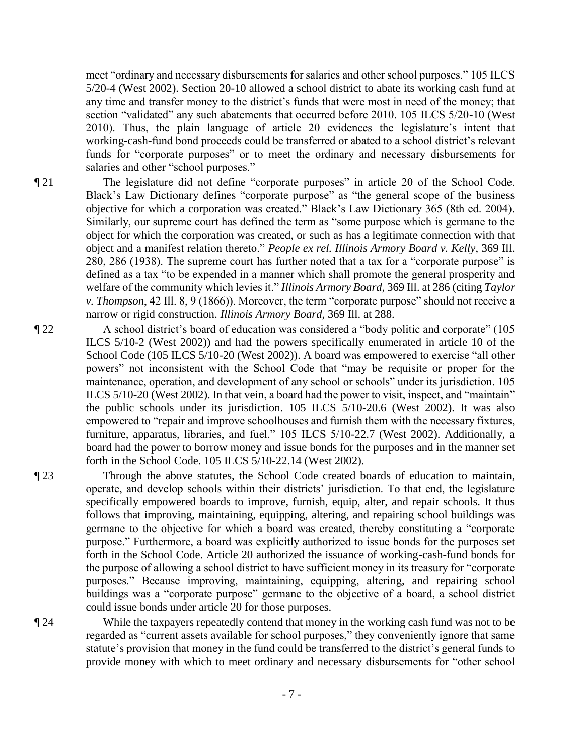meet "ordinary and necessary disbursements for salaries and other school purposes." 105 ILCS 5/20-4 (West 2002). Section 20-10 allowed a school district to abate its working cash fund at any time and transfer money to the district's funds that were most in need of the money; that section "validated" any such abatements that occurred before 2010. 105 ILCS 5/20-10 (West 2010). Thus, the plain language of article 20 evidences the legislature's intent that working-cash-fund bond proceeds could be transferred or abated to a school district's relevant funds for "corporate purposes" or to meet the ordinary and necessary disbursements for salaries and other "school purposes."

- ¶ 21 The legislature did not define "corporate purposes" in article 20 of the School Code. Black's Law Dictionary defines "corporate purpose" as "the general scope of the business objective for which a corporation was created." Black's Law Dictionary 365 (8th ed. 2004). Similarly, our supreme court has defined the term as "some purpose which is germane to the object for which the corporation was created, or such as has a legitimate connection with that object and a manifest relation thereto." *People ex rel. Illinois Armory Board v. Kelly*, 369 Ill. 280, 286 (1938). The supreme court has further noted that a tax for a "corporate purpose" is defined as a tax "to be expended in a manner which shall promote the general prosperity and welfare of the community which levies it." *Illinois Armory Board*, 369 Ill. at 286 (citing *Taylor v. Thompson*, 42 Ill. 8, 9 (1866)). Moreover, the term "corporate purpose" should not receive a narrow or rigid construction. *Illinois Armory Board*, 369 Ill. at 288.
- ¶ 22 A school district's board of education was considered a "body politic and corporate" (105 ILCS 5/10-2 (West 2002)) and had the powers specifically enumerated in article 10 of the School Code (105 ILCS 5/10-20 (West 2002)). A board was empowered to exercise "all other powers" not inconsistent with the School Code that "may be requisite or proper for the maintenance, operation, and development of any school or schools" under its jurisdiction. 105 ILCS 5/10-20 (West 2002). In that vein, a board had the power to visit, inspect, and "maintain" the public schools under its jurisdiction. 105 ILCS 5/10-20.6 (West 2002). It was also empowered to "repair and improve schoolhouses and furnish them with the necessary fixtures, furniture, apparatus, libraries, and fuel." 105 ILCS 5/10-22.7 (West 2002). Additionally, a board had the power to borrow money and issue bonds for the purposes and in the manner set forth in the School Code. 105 ILCS 5/10-22.14 (West 2002).

¶ 23 Through the above statutes, the School Code created boards of education to maintain, operate, and develop schools within their districts' jurisdiction. To that end, the legislature specifically empowered boards to improve, furnish, equip, alter, and repair schools. It thus follows that improving, maintaining, equipping, altering, and repairing school buildings was germane to the objective for which a board was created, thereby constituting a "corporate purpose." Furthermore, a board was explicitly authorized to issue bonds for the purposes set forth in the School Code. Article 20 authorized the issuance of working-cash-fund bonds for the purpose of allowing a school district to have sufficient money in its treasury for "corporate purposes." Because improving, maintaining, equipping, altering, and repairing school buildings was a "corporate purpose" germane to the objective of a board, a school district could issue bonds under article 20 for those purposes.

¶ 24 While the taxpayers repeatedly contend that money in the working cash fund was not to be regarded as "current assets available for school purposes," they conveniently ignore that same statute's provision that money in the fund could be transferred to the district's general funds to provide money with which to meet ordinary and necessary disbursements for "other school

- 7 -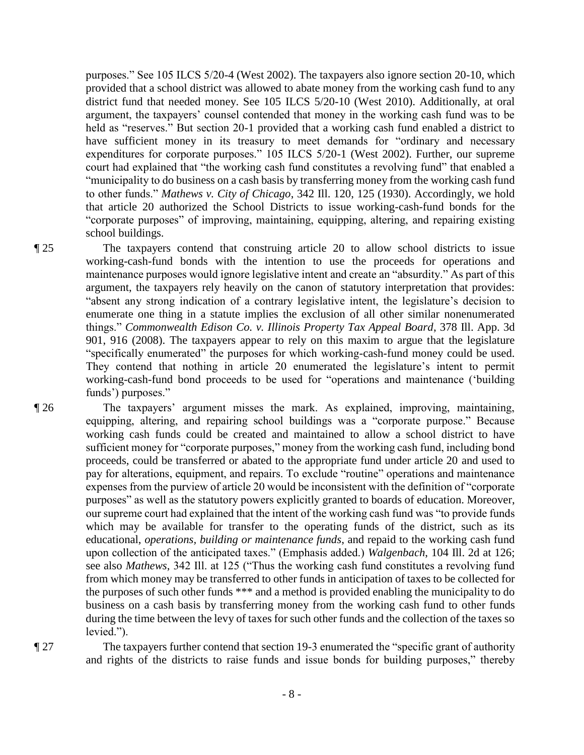purposes." See 105 ILCS 5/20-4 (West 2002). The taxpayers also ignore section 20-10, which provided that a school district was allowed to abate money from the working cash fund to any district fund that needed money. See 105 ILCS 5/20-10 (West 2010). Additionally, at oral argument, the taxpayers' counsel contended that money in the working cash fund was to be held as "reserves." But section 20-1 provided that a working cash fund enabled a district to have sufficient money in its treasury to meet demands for "ordinary and necessary expenditures for corporate purposes." 105 ILCS 5/20-1 (West 2002). Further, our supreme court had explained that "the working cash fund constitutes a revolving fund" that enabled a "municipality to do business on a cash basis by transferring money from the working cash fund to other funds." *Mathews v. City of Chicago*, 342 Ill. 120, 125 (1930). Accordingly, we hold that article 20 authorized the School Districts to issue working-cash-fund bonds for the "corporate purposes" of improving, maintaining, equipping, altering, and repairing existing school buildings.

¶ 25 The taxpayers contend that construing article 20 to allow school districts to issue working-cash-fund bonds with the intention to use the proceeds for operations and maintenance purposes would ignore legislative intent and create an "absurdity." As part of this argument, the taxpayers rely heavily on the canon of statutory interpretation that provides: "absent any strong indication of a contrary legislative intent, the legislature's decision to enumerate one thing in a statute implies the exclusion of all other similar nonenumerated things." *Commonwealth Edison Co. v. Illinois Property Tax Appeal Board*, 378 Ill. App. 3d 901, 916 (2008). The taxpayers appear to rely on this maxim to argue that the legislature "specifically enumerated" the purposes for which working-cash-fund money could be used. They contend that nothing in article 20 enumerated the legislature's intent to permit working-cash-fund bond proceeds to be used for "operations and maintenance ('building funds') purposes."

¶ 26 The taxpayers' argument misses the mark. As explained, improving, maintaining, equipping, altering, and repairing school buildings was a "corporate purpose." Because working cash funds could be created and maintained to allow a school district to have sufficient money for "corporate purposes," money from the working cash fund, including bond proceeds, could be transferred or abated to the appropriate fund under article 20 and used to pay for alterations, equipment, and repairs. To exclude "routine" operations and maintenance expenses from the purview of article 20 would be inconsistent with the definition of "corporate purposes" as well as the statutory powers explicitly granted to boards of education. Moreover, our supreme court had explained that the intent of the working cash fund was "to provide funds which may be available for transfer to the operating funds of the district, such as its educational, *operations, building or maintenance funds*, and repaid to the working cash fund upon collection of the anticipated taxes." (Emphasis added.) *Walgenbach*, 104 Ill. 2d at 126; see also *Mathews*, 342 Ill. at 125 ("Thus the working cash fund constitutes a revolving fund from which money may be transferred to other funds in anticipation of taxes to be collected for the purposes of such other funds \*\*\* and a method is provided enabling the municipality to do business on a cash basis by transferring money from the working cash fund to other funds during the time between the levy of taxes for such other funds and the collection of the taxes so levied.").

¶ 27 The taxpayers further contend that section 19-3 enumerated the "specific grant of authority and rights of the districts to raise funds and issue bonds for building purposes," thereby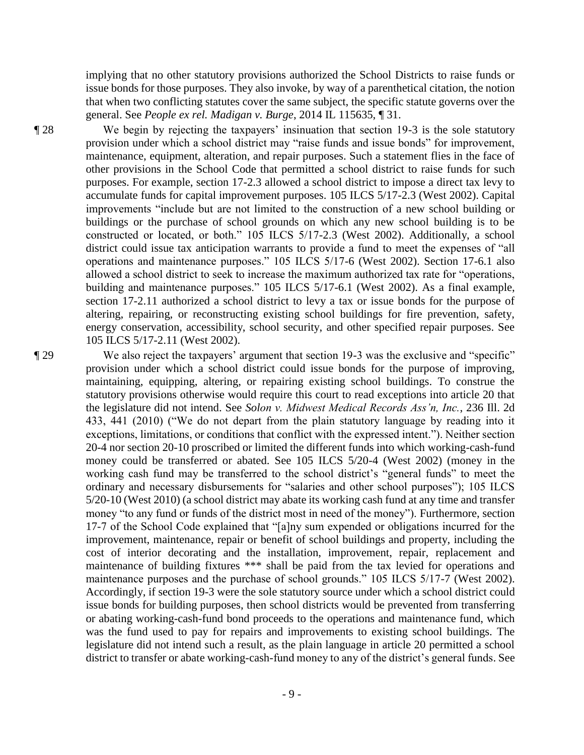implying that no other statutory provisions authorized the School Districts to raise funds or issue bonds for those purposes. They also invoke, by way of a parenthetical citation, the notion that when two conflicting statutes cover the same subject, the specific statute governs over the general. See *People ex rel. Madigan v. Burge*, 2014 IL 115635, ¶ 31.

¶ 28 We begin by rejecting the taxpayers' insinuation that section 19-3 is the sole statutory provision under which a school district may "raise funds and issue bonds" for improvement, maintenance, equipment, alteration, and repair purposes. Such a statement flies in the face of other provisions in the School Code that permitted a school district to raise funds for such purposes. For example, section 17-2.3 allowed a school district to impose a direct tax levy to accumulate funds for capital improvement purposes. 105 ILCS 5/17-2.3 (West 2002). Capital improvements "include but are not limited to the construction of a new school building or buildings or the purchase of school grounds on which any new school building is to be constructed or located, or both." 105 ILCS 5/17-2.3 (West 2002). Additionally, a school district could issue tax anticipation warrants to provide a fund to meet the expenses of "all operations and maintenance purposes." 105 ILCS 5/17-6 (West 2002). Section 17-6.1 also allowed a school district to seek to increase the maximum authorized tax rate for "operations, building and maintenance purposes." 105 ILCS 5/17-6.1 (West 2002). As a final example, section 17-2.11 authorized a school district to levy a tax or issue bonds for the purpose of altering, repairing, or reconstructing existing school buildings for fire prevention, safety, energy conservation, accessibility, school security, and other specified repair purposes. See 105 ILCS 5/17-2.11 (West 2002).

¶ 29 We also reject the taxpayers' argument that section 19-3 was the exclusive and "specific" provision under which a school district could issue bonds for the purpose of improving, maintaining, equipping, altering, or repairing existing school buildings. To construe the statutory provisions otherwise would require this court to read exceptions into article 20 that the legislature did not intend. See *Solon v. Midwest Medical Records Ass'n, Inc.*, 236 Ill. 2d 433, 441 (2010) ("We do not depart from the plain statutory language by reading into it exceptions, limitations, or conditions that conflict with the expressed intent."). Neither section 20-4 nor section 20-10 proscribed or limited the different funds into which working-cash-fund money could be transferred or abated. See 105 ILCS 5/20-4 (West 2002) (money in the working cash fund may be transferred to the school district's "general funds" to meet the ordinary and necessary disbursements for "salaries and other school purposes"); 105 ILCS 5/20-10 (West 2010) (a school district may abate its working cash fund at any time and transfer money "to any fund or funds of the district most in need of the money"). Furthermore, section 17-7 of the School Code explained that "[a]ny sum expended or obligations incurred for the improvement, maintenance, repair or benefit of school buildings and property, including the cost of interior decorating and the installation, improvement, repair, replacement and maintenance of building fixtures \*\*\* shall be paid from the tax levied for operations and maintenance purposes and the purchase of school grounds." 105 ILCS 5/17-7 (West 2002). Accordingly, if section 19-3 were the sole statutory source under which a school district could issue bonds for building purposes, then school districts would be prevented from transferring or abating working-cash-fund bond proceeds to the operations and maintenance fund, which was the fund used to pay for repairs and improvements to existing school buildings. The legislature did not intend such a result, as the plain language in article 20 permitted a school district to transfer or abate working-cash-fund money to any of the district's general funds. See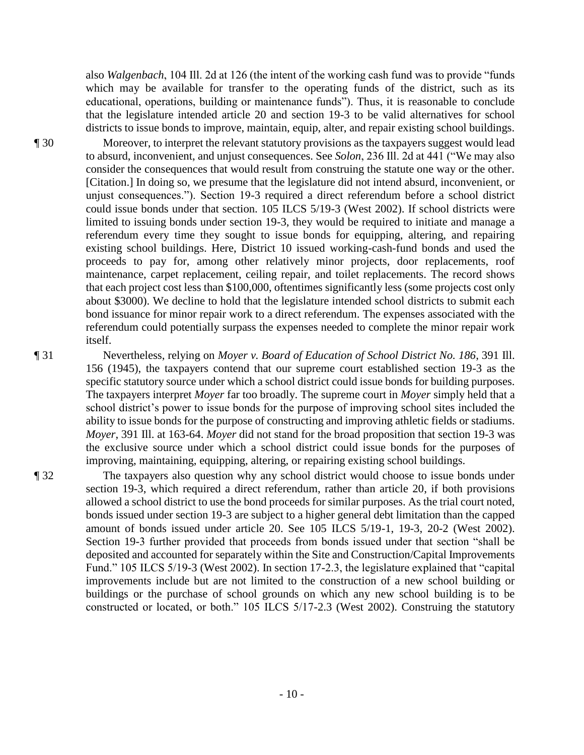also *Walgenbach*, 104 Ill. 2d at 126 (the intent of the working cash fund was to provide "funds which may be available for transfer to the operating funds of the district, such as its educational, operations, building or maintenance funds"). Thus, it is reasonable to conclude that the legislature intended article 20 and section 19-3 to be valid alternatives for school districts to issue bonds to improve, maintain, equip, alter, and repair existing school buildings.

¶ 30 Moreover, to interpret the relevant statutory provisions as the taxpayers suggest would lead to absurd, inconvenient, and unjust consequences. See *Solon*, 236 Ill. 2d at 441 ("We may also consider the consequences that would result from construing the statute one way or the other. [Citation.] In doing so, we presume that the legislature did not intend absurd, inconvenient, or unjust consequences."). Section 19-3 required a direct referendum before a school district could issue bonds under that section. 105 ILCS 5/19-3 (West 2002). If school districts were limited to issuing bonds under section 19-3, they would be required to initiate and manage a referendum every time they sought to issue bonds for equipping, altering, and repairing existing school buildings. Here, District 10 issued working-cash-fund bonds and used the proceeds to pay for, among other relatively minor projects, door replacements, roof maintenance, carpet replacement, ceiling repair, and toilet replacements. The record shows that each project cost less than \$100,000, oftentimes significantly less (some projects cost only about \$3000). We decline to hold that the legislature intended school districts to submit each bond issuance for minor repair work to a direct referendum. The expenses associated with the referendum could potentially surpass the expenses needed to complete the minor repair work itself.

¶ 31 Nevertheless, relying on *Moyer v. Board of Education of School District No. 186*, 391 Ill. 156 (1945), the taxpayers contend that our supreme court established section 19-3 as the specific statutory source under which a school district could issue bonds for building purposes. The taxpayers interpret *Moyer* far too broadly. The supreme court in *Moyer* simply held that a school district's power to issue bonds for the purpose of improving school sites included the ability to issue bonds for the purpose of constructing and improving athletic fields or stadiums. *Moyer*, 391 Ill. at 163-64. *Moyer* did not stand for the broad proposition that section 19-3 was the exclusive source under which a school district could issue bonds for the purposes of improving, maintaining, equipping, altering, or repairing existing school buildings.

¶ 32 The taxpayers also question why any school district would choose to issue bonds under section 19-3, which required a direct referendum, rather than article 20, if both provisions allowed a school district to use the bond proceeds for similar purposes. As the trial court noted, bonds issued under section 19-3 are subject to a higher general debt limitation than the capped amount of bonds issued under article 20. See 105 ILCS 5/19-1, 19-3, 20-2 (West 2002). Section 19-3 further provided that proceeds from bonds issued under that section "shall be deposited and accounted for separately within the Site and Construction/Capital Improvements Fund." 105 ILCS 5/19-3 (West 2002). In section 17-2.3, the legislature explained that "capital improvements include but are not limited to the construction of a new school building or buildings or the purchase of school grounds on which any new school building is to be constructed or located, or both." 105 ILCS 5/17-2.3 (West 2002). Construing the statutory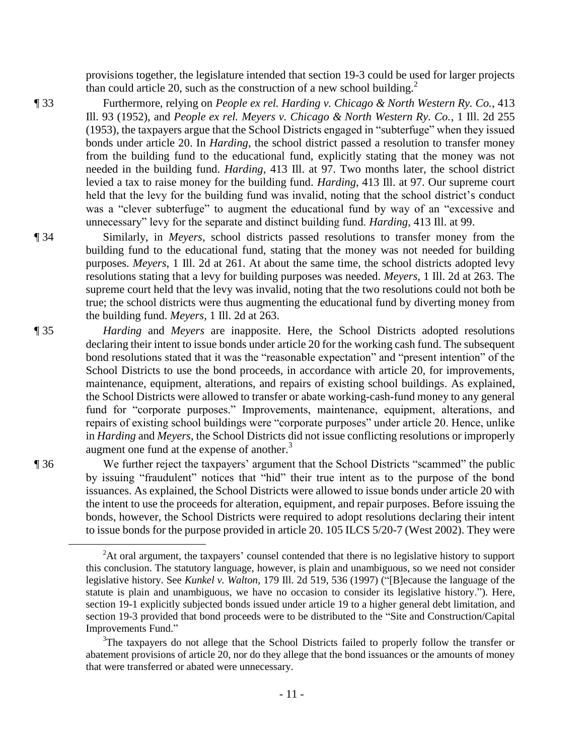provisions together, the legislature intended that section 19-3 could be used for larger projects than could article 20, such as the construction of a new school building.<sup>2</sup>

¶ 33 Furthermore, relying on *People ex rel. Harding v. Chicago & North Western Ry. Co.*, 413 Ill. 93 (1952), and *People ex rel. Meyers v. Chicago & North Western Ry. Co.*, 1 Ill. 2d 255 (1953), the taxpayers argue that the School Districts engaged in "subterfuge" when they issued bonds under article 20. In *Harding*, the school district passed a resolution to transfer money from the building fund to the educational fund, explicitly stating that the money was not needed in the building fund. *Harding*, 413 Ill. at 97. Two months later, the school district levied a tax to raise money for the building fund. *Harding*, 413 Ill. at 97. Our supreme court held that the levy for the building fund was invalid, noting that the school district's conduct was a "clever subterfuge" to augment the educational fund by way of an "excessive and unnecessary" levy for the separate and distinct building fund. *Harding*, 413 Ill. at 99.

¶ 34 Similarly, in *Meyers*, school districts passed resolutions to transfer money from the building fund to the educational fund, stating that the money was not needed for building purposes. *Meyers*, 1 Ill. 2d at 261. At about the same time, the school districts adopted levy resolutions stating that a levy for building purposes was needed. *Meyers*, 1 Ill. 2d at 263. The supreme court held that the levy was invalid, noting that the two resolutions could not both be true; the school districts were thus augmenting the educational fund by diverting money from the building fund. *Meyers*, 1 Ill. 2d at 263.

¶ 35 *Harding* and *Meyers* are inapposite. Here, the School Districts adopted resolutions declaring their intent to issue bonds under article 20 for the working cash fund. The subsequent bond resolutions stated that it was the "reasonable expectation" and "present intention" of the School Districts to use the bond proceeds, in accordance with article 20, for improvements, maintenance, equipment, alterations, and repairs of existing school buildings. As explained, the School Districts were allowed to transfer or abate working-cash-fund money to any general fund for "corporate purposes." Improvements, maintenance, equipment, alterations, and repairs of existing school buildings were "corporate purposes" under article 20. Hence, unlike in *Harding* and *Meyers*, the School Districts did not issue conflicting resolutions or improperly augment one fund at the expense of another. $3$ 

 $\overline{a}$ 

¶ 36 We further reject the taxpayers' argument that the School Districts "scammed" the public by issuing "fraudulent" notices that "hid" their true intent as to the purpose of the bond issuances. As explained, the School Districts were allowed to issue bonds under article 20 with the intent to use the proceeds for alteration, equipment, and repair purposes. Before issuing the bonds, however, the School Districts were required to adopt resolutions declaring their intent to issue bonds for the purpose provided in article 20. 105 ILCS 5/20-7 (West 2002). They were

<sup>&</sup>lt;sup>2</sup>At oral argument, the taxpayers' counsel contended that there is no legislative history to support this conclusion. The statutory language, however, is plain and unambiguous, so we need not consider legislative history. See *Kunkel v. Walton*, 179 Ill. 2d 519, 536 (1997) ("[B]ecause the language of the statute is plain and unambiguous, we have no occasion to consider its legislative history."). Here, section 19-1 explicitly subjected bonds issued under article 19 to a higher general debt limitation, and section 19-3 provided that bond proceeds were to be distributed to the "Site and Construction/Capital Improvements Fund."

<sup>&</sup>lt;sup>3</sup>The taxpayers do not allege that the School Districts failed to properly follow the transfer or abatement provisions of article 20, nor do they allege that the bond issuances or the amounts of money that were transferred or abated were unnecessary.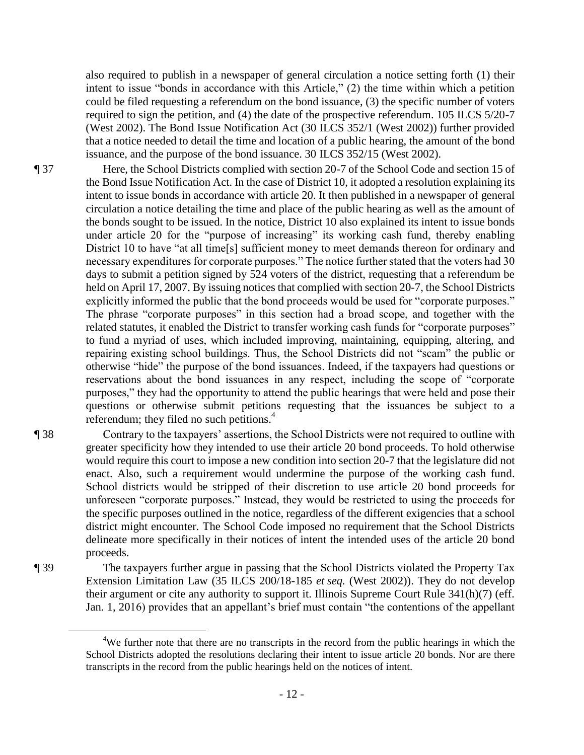also required to publish in a newspaper of general circulation a notice setting forth (1) their intent to issue "bonds in accordance with this Article," (2) the time within which a petition could be filed requesting a referendum on the bond issuance, (3) the specific number of voters required to sign the petition, and (4) the date of the prospective referendum. 105 ILCS 5/20-7 (West 2002). The Bond Issue Notification Act (30 ILCS 352/1 (West 2002)) further provided that a notice needed to detail the time and location of a public hearing, the amount of the bond issuance, and the purpose of the bond issuance. 30 ILCS 352/15 (West 2002).

¶ 37 Here, the School Districts complied with section 20-7 of the School Code and section 15 of the Bond Issue Notification Act. In the case of District 10, it adopted a resolution explaining its intent to issue bonds in accordance with article 20. It then published in a newspaper of general circulation a notice detailing the time and place of the public hearing as well as the amount of the bonds sought to be issued. In the notice, District 10 also explained its intent to issue bonds under article 20 for the "purpose of increasing" its working cash fund, thereby enabling District 10 to have "at all time[s] sufficient money to meet demands thereon for ordinary and necessary expenditures for corporate purposes." The notice further stated that the voters had 30 days to submit a petition signed by 524 voters of the district, requesting that a referendum be held on April 17, 2007. By issuing notices that complied with section 20-7, the School Districts explicitly informed the public that the bond proceeds would be used for "corporate purposes." The phrase "corporate purposes" in this section had a broad scope, and together with the related statutes, it enabled the District to transfer working cash funds for "corporate purposes" to fund a myriad of uses, which included improving, maintaining, equipping, altering, and repairing existing school buildings. Thus, the School Districts did not "scam" the public or otherwise "hide" the purpose of the bond issuances. Indeed, if the taxpayers had questions or reservations about the bond issuances in any respect, including the scope of "corporate purposes," they had the opportunity to attend the public hearings that were held and pose their questions or otherwise submit petitions requesting that the issuances be subject to a referendum; they filed no such petitions. $4$ 

¶ 38 Contrary to the taxpayers' assertions, the School Districts were not required to outline with greater specificity how they intended to use their article 20 bond proceeds. To hold otherwise would require this court to impose a new condition into section 20-7 that the legislature did not enact. Also, such a requirement would undermine the purpose of the working cash fund. School districts would be stripped of their discretion to use article 20 bond proceeds for unforeseen "corporate purposes." Instead, they would be restricted to using the proceeds for the specific purposes outlined in the notice, regardless of the different exigencies that a school district might encounter. The School Code imposed no requirement that the School Districts delineate more specifically in their notices of intent the intended uses of the article 20 bond proceeds.

¶ 39 The taxpayers further argue in passing that the School Districts violated the Property Tax Extension Limitation Law (35 ILCS 200/18-185 *et seq.* (West 2002)). They do not develop their argument or cite any authority to support it. Illinois Supreme Court Rule 341(h)(7) (eff. Jan. 1, 2016) provides that an appellant's brief must contain "the contentions of the appellant

 $\overline{a}$ 

<sup>&</sup>lt;sup>4</sup>We further note that there are no transcripts in the record from the public hearings in which the School Districts adopted the resolutions declaring their intent to issue article 20 bonds. Nor are there transcripts in the record from the public hearings held on the notices of intent.